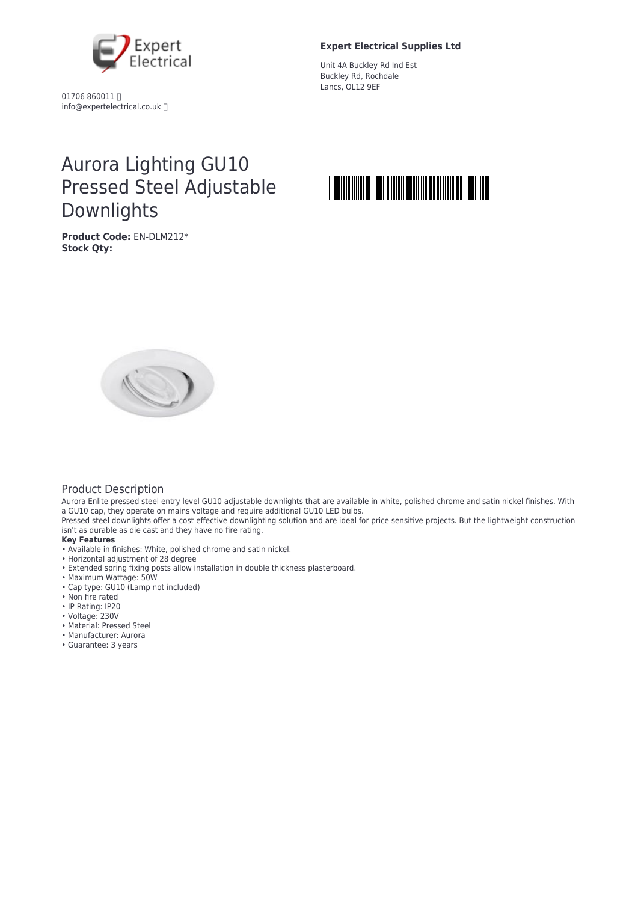

01706 860011 info@expertelectrical.co.uk

#### **Expert Electrical Supplies Ltd**

Unit 4A Buckley Rd Ind Est Buckley Rd, Rochdale Lancs, OL12 9EF

# Aurora Lighting GU10 Pressed Steel Adjustable Downlights

**Product Code:** EN-DLM212\* **Stock Qty:**





## Product Description

Aurora Enlite pressed steel entry level GU10 adjustable downlights that are available in white, polished chrome and satin nickel finishes. With a GU10 cap, they operate on mains voltage and require additional GU10 LED bulbs.

Pressed steel downlights offer a cost effective downlighting solution and are ideal for price sensitive projects. But the lightweight construction isn't as durable as die cast and they have no fire rating.

#### **Key Features**

- Available in finishes: White, polished chrome and satin nickel.
- Horizontal adjustment of 28 degree
- Extended spring fixing posts allow installation in double thickness plasterboard.
- Maximum Wattage: 50W
- Cap type: GU10 (Lamp not included)
- Non fire rated
- IP Rating: IP20
- Voltage: 230V
- Material: Pressed Steel
- Manufacturer: Aurora
- Guarantee: 3 years